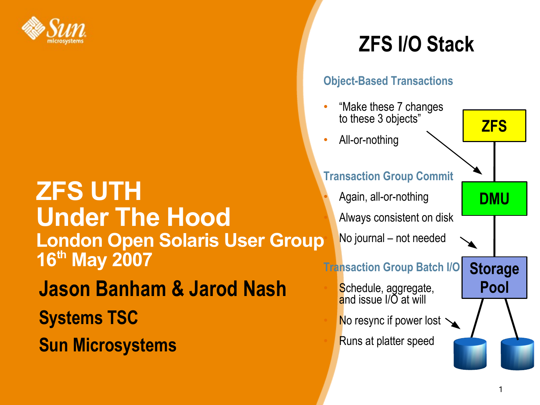

# **ZFS UTH Under The Hood London Open Solaris User Group 16 th May 2007 Jason Banham & Jarod Nash Systems TSC Sun Microsystems**

# **ZFS I/O Stack**

#### **Object-Based Transactions**

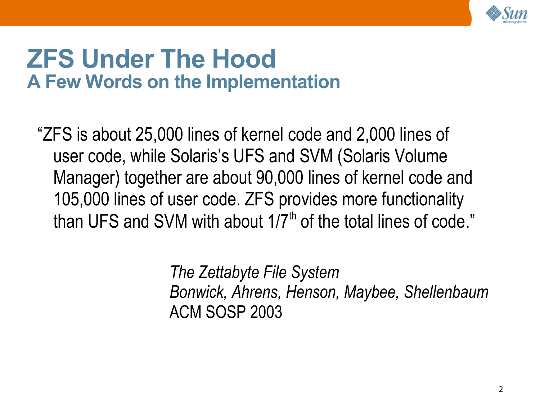

# **ZFS Under The Hood A Few Words on the Implementation**

"ZFS is about 25,000 lines of kernel code and 2,000 lines of user code, while Solaris's UFS and SVM (Solaris Volume Manager) together are about 90,000 lines of kernel code and 105,000 lines of user code. ZFS provides more functionality than UFS and SVM with about 1/7<sup>th</sup> of the total lines of code."

> *The Zettabyte File System Bonwick, Ahrens, Henson, Maybee, Shellenbaum* ACM SOSP 2003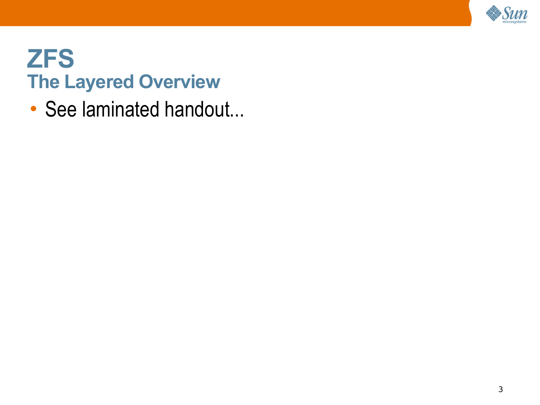

# **ZFS The Layered Overview**

• See laminated handout...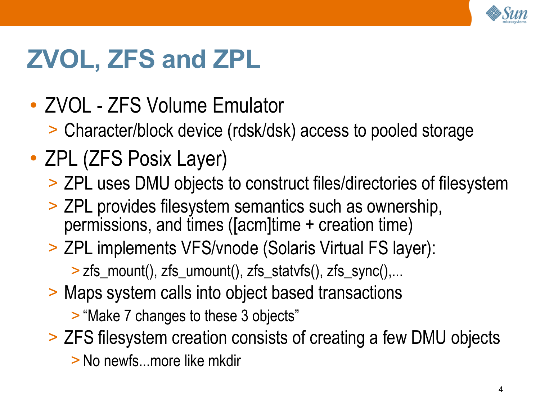

# **ZVOL, ZFS and ZPL**

- ZVOL ZFS Volume Emulator
	- > Character/block device (rdsk/dsk) access to pooled storage
- ZPL (ZFS Posix Layer)
	- > ZPL uses DMU objects to construct files/directories of filesystem
	- > ZPL provides filesystem semantics such as ownership, permissions, and times ([acm]time + creation time)
	- > ZPL implements VFS/vnode (Solaris Virtual FS layer): > zfs\_mount(), zfs\_umount(), zfs\_statvfs(), zfs\_sync(),...
	- > Maps system calls into object based transactions
		- > "Make 7 changes to these 3 objects"
	- > ZFS filesystem creation consists of creating a few DMU objects > No newfs...more like mkdir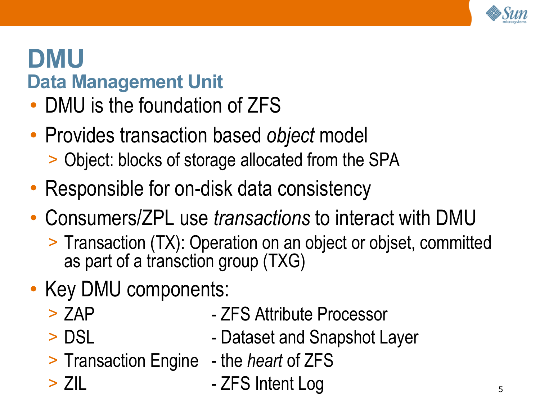

# **DMU Data Management Unit**

- DMU is the foundation of ZFS
- Provides transaction based *object* model > Object: blocks of storage allocated from the SPA
- Responsible for on-disk data consistency
- Consumers/ZPL use *transactions* to interact with DMU
	- > Transaction (TX): Operation on an object or objset, committed as part of a transction group (TXG)
- Key DMU components:
	-
	- > ZAP ZFS Attribute Processor
	-
	- > DSL Dataset and Snapshot Layer
	- > Transaction Engine the *heart* of ZFS
	-
	- > ZIL The ASS Intent Log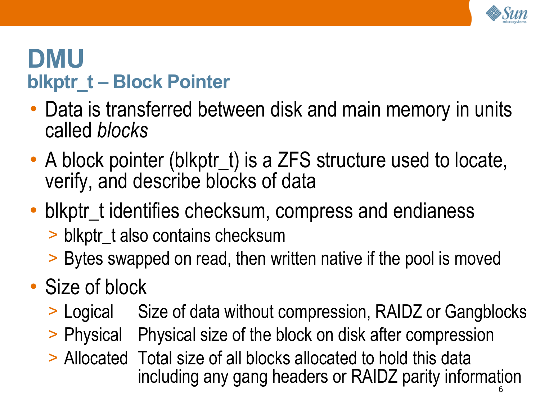

# **DMU blkptr\_t – Block Pointer**

- Data is transferred between disk and main memory in units called *blocks*
- A block pointer (blkptr\_t) is a ZFS structure used to locate, verify, and describe blocks of data
- blkptr t identifies checksum, compress and endianess
	- > blkptr\_t also contains checksum
	- > Bytes swapped on read, then written native if the pool is moved
- Size of block
	- > Logical Size of data without compression, RAIDZ or Gangblocks
	- > Physical Physical size of the block on disk after compression
	- > Allocated Total size of all blocks allocated to hold this data including any gang headers or RAIDZ parity information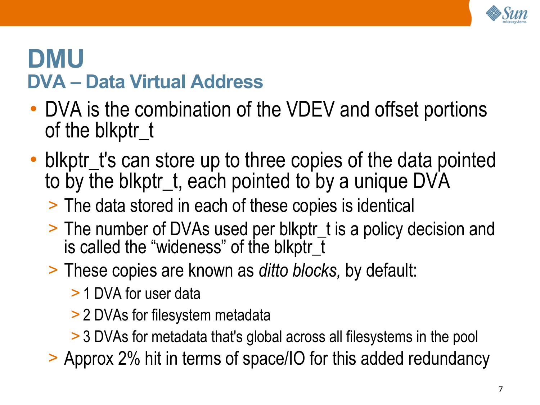

# **DMU DVA – Data Virtual Address**

- DVA is the combination of the VDEV and offset portions of the blkptr\_t
- blkptr\_t's can store up to three copies of the data pointed to by the blkptr t, each pointed to by a unique DVA
	- > The data stored in each of these copies is identical
	- > The number of DVAs used per blkptr\_t is a policy decision and is called the "wideness" of the blkptr\_t
	- > These copies are known as *ditto blocks,* by default:
		- > 1 DVA for user data
		- > 2 DVAs for filesystem metadata
		- > 3 DVAs for metadata that's global across all filesystems in the pool

> Approx 2% hit in terms of space/IO for this added redundancy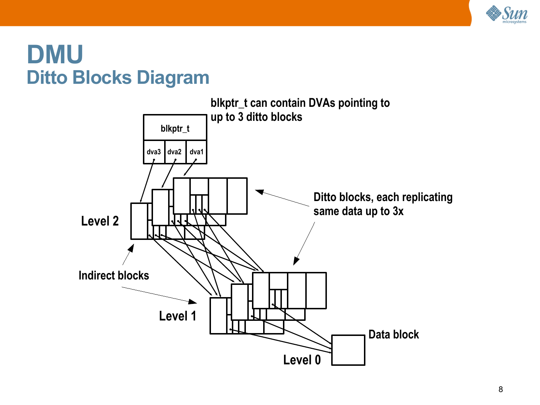

#### **DMU Ditto Blocks Diagram**

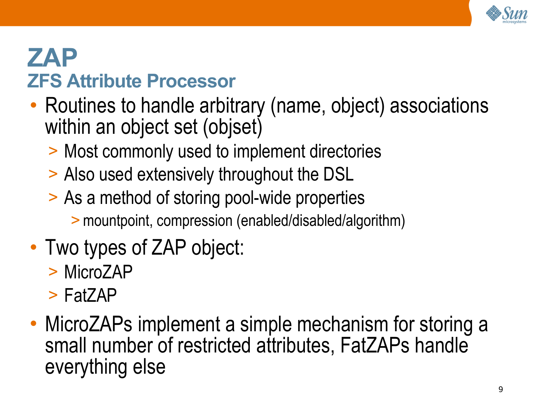

# **ZAP ZFS Attribute Processor**

- Routines to handle arbitrary (name, object) associations within an object set (objset)
	- > Most commonly used to implement directories
	- > Also used extensively throughout the DSL
	- > As a method of storing pool-wide properties
		- >mountpoint, compression (enabled/disabled/algorithm)
- Two types of ZAP object:
	- > MicroZAP
	- > FatZAP
- MicroZAPs implement a simple mechanism for storing a small number of restricted attributes, FatZAPs handle everything else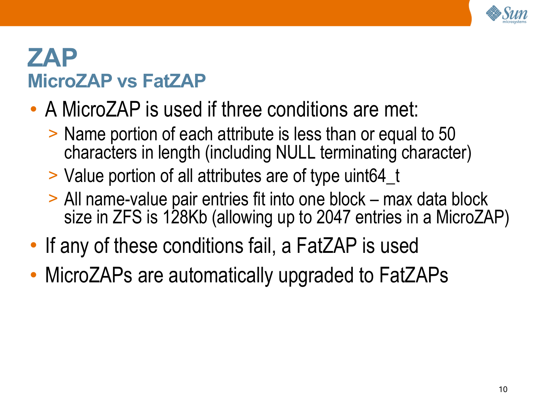

## **ZAP MicroZAP vs FatZAP**

- A MicroZAP is used if three conditions are met:
	- > Name portion of each attribute is less than or equal to 50 characters in length (including NULL terminating character)
	- > Value portion of all attributes are of type uint64\_t
	- > All name-value pair entries fit into one block max data block size in ZFS is 128Kb (allowing up to 2047 entries in a MicroZAP)
- If any of these conditions fail, a FatZAP is used
- MicroZAPs are automatically upgraded to FatZAPs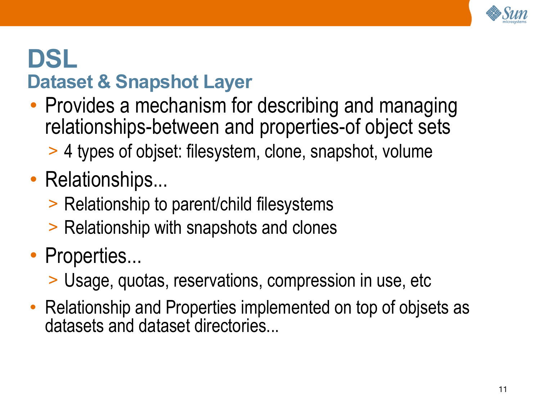

# **DSL Dataset & Snapshot Layer**

- Provides a mechanism for describing and managing relationships-between and properties-of object sets
	- > 4 types of objset: filesystem, clone, snapshot, volume

# • Relationships...

- > Relationship to parent/child filesystems
- > Relationship with snapshots and clones
- Properties...
	- > Usage, quotas, reservations, compression in use, etc
- Relationship and Properties implemented on top of objsets as datasets and dataset directories...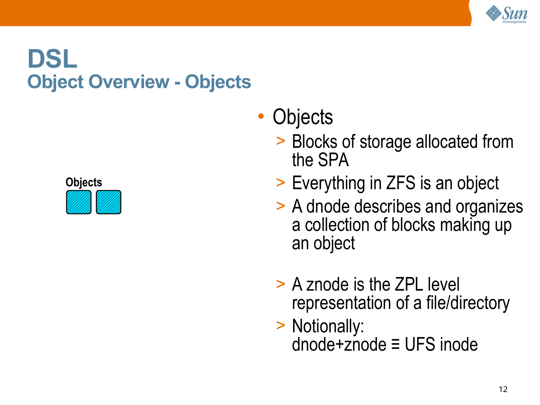

# **DSL Object Overview - Objects**



- **Objects** 
	- > Blocks of storage allocated from the SPA
	- > Everything in ZFS is an object
	- > A dnode describes and organizes a collection of blocks making up an object
	- > A znode is the ZPL level representation of a file/directory
	- > Notionally: dnode+znode ≡ UFS inode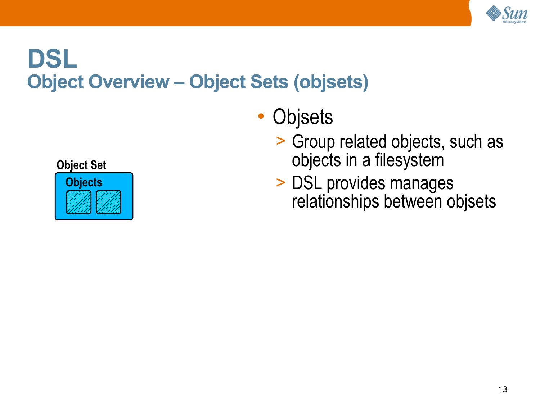

# **DSL Object Overview – Object Sets (objsets)**

- **Objsets** 
	- > Group related objects, such as objects in a filesystem
	- > DSL provides manages relationships between objsets

**Object Set**

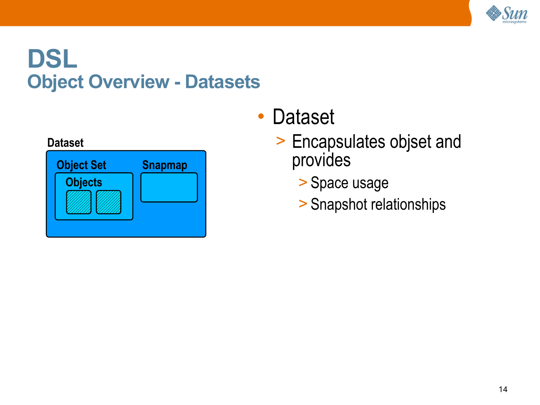

# **DSL Object Overview - Datasets**





- Dataset
	- > Encapsulates objset and provides
		- > Space usage
		- > Snapshot relationships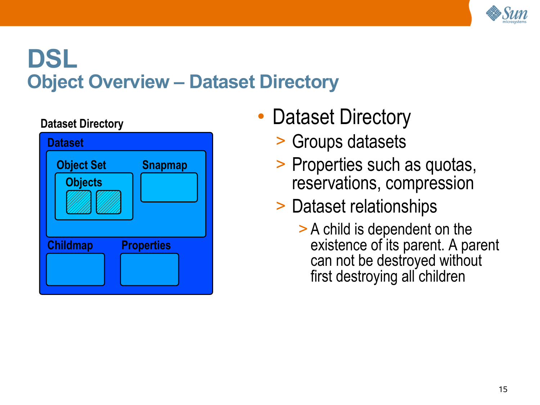

# **DSL Object Overview – Dataset Directory**

#### **Dataset Directory**

| <b>Dataset</b>    |                   |
|-------------------|-------------------|
| <b>Object Set</b> | <b>Snapmap</b>    |
| <b>Objects</b>    |                   |
|                   |                   |
|                   |                   |
| <b>Childmap</b>   | <b>Properties</b> |
|                   |                   |
|                   |                   |

- Dataset Directory
	- > Groups datasets
	- > Properties such as quotas, reservations, compression

### > Dataset relationships

> A child is dependent on the existence of its parent. A parent can not be destroyed without first destroying all children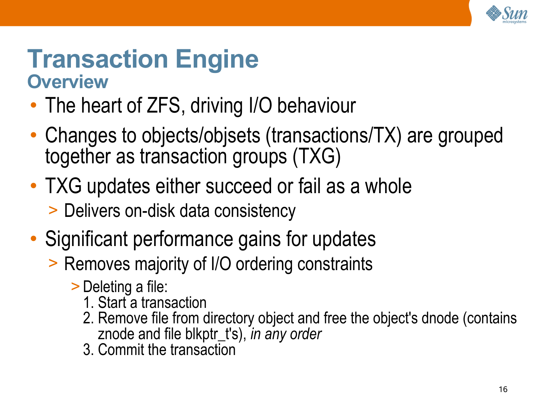

### **Transaction Engine Overview**

- The heart of ZFS, driving I/O behaviour
- Changes to objects/objsets (transactions/TX) are grouped together as transaction groups (TXG)
- TXG updates either succeed or fail as a whole > Delivers on-disk data consistency
- Significant performance gains for updates
	- > Removes majority of I/O ordering constraints
		- > Deleting a file:
			- 1. Start a transaction
			- 2. Remove file from directory object and free the object's dnode (contains znode and file blkptr\_t's), *in any order*
			- 3. Commit the transaction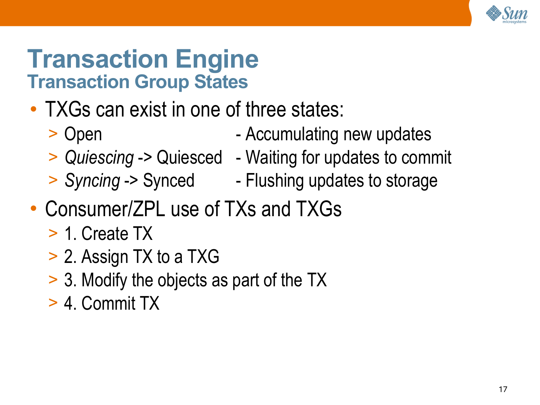

# **Transaction Engine Transaction Group States**

- TXGs can exist in one of three states:
	- > Open Accumulating new updates
	-
	-
	- > *Quiescing* -> Quiesced Waiting for updates to commit
	- > *Syncing* -> Synced Flushing updates to storage
- Consumer/ZPL use of TXs and TXGs
	- > 1. Create TX
	- > 2. Assign TX to a TXG
	- > 3. Modify the objects as part of the TX
	- > 4. Commit TX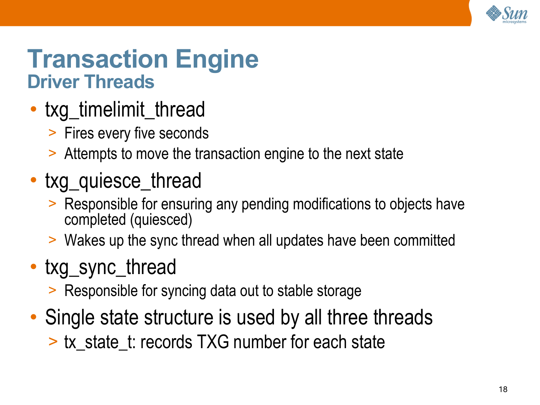

# **Transaction Engine Driver Threads**

- txg\_timelimit\_thread
	- > Fires every five seconds
	- > Attempts to move the transaction engine to the next state
- txg\_quiesce\_thread
	- > Responsible for ensuring any pending modifications to objects have completed (quiesced)
	- > Wakes up the sync thread when all updates have been committed
- txg\_sync\_thread
	- > Responsible for syncing data out to stable storage
- Single state structure is used by all three threads
	- > tx\_state\_t: records TXG number for each state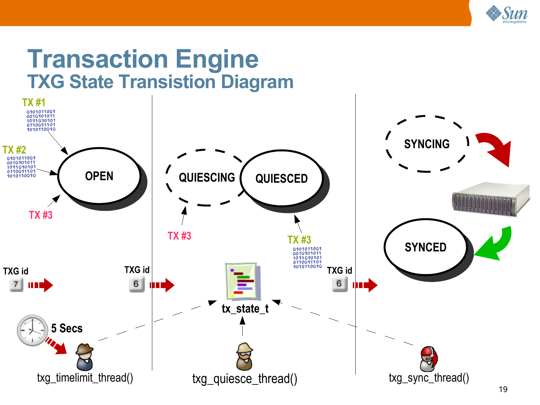

#### **Transaction Engine TXG State Transistion Diagram**

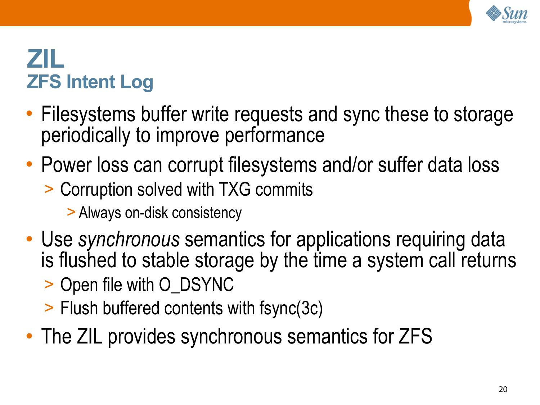

# **ZIL ZFS Intent Log**

- Filesystems buffer write requests and sync these to storage periodically to improve performance
- Power loss can corrupt filesystems and/or suffer data loss
	- > Corruption solved with TXG commits
		- > Always on-disk consistency
- Use *synchronous* semantics for applications requiring data is flushed to stable storage by the time a system call returns
	- > Open file with O\_DSYNC
	- > Flush buffered contents with fsync(3c)
- The ZIL provides synchronous semantics for ZFS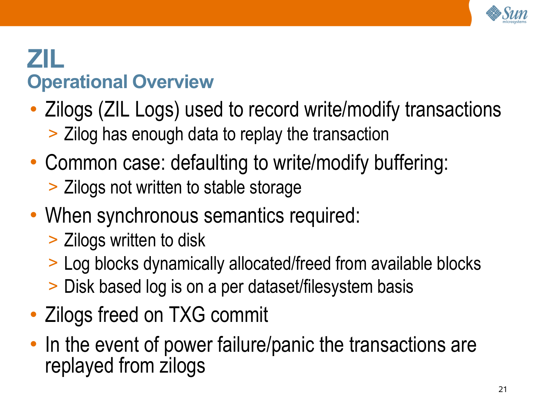

# **ZIL Operational Overview**

- Zilogs (ZIL Logs) used to record write/modify transactions > Zilog has enough data to replay the transaction
- Common case: defaulting to write/modify buffering: > Zilogs not written to stable storage
- When synchronous semantics required:
	- > Zilogs written to disk
	- > Log blocks dynamically allocated/freed from available blocks
	- > Disk based log is on a per dataset/filesystem basis
- Zilogs freed on TXG commit
- In the event of power failure/panic the transactions are replayed from zilogs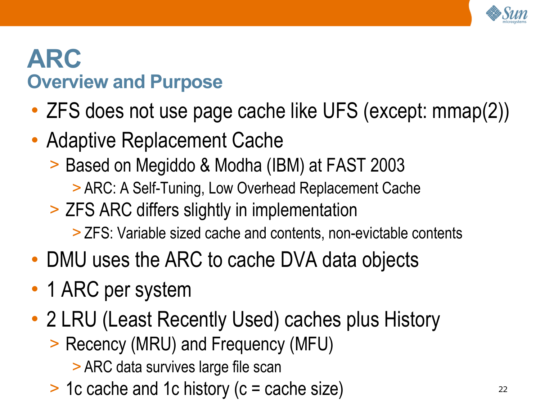

# **ARC Overview and Purpose**

- ZFS does not use page cache like UFS (except: mmap(2))
- Adaptive Replacement Cache
	- > Based on Megiddo & Modha (IBM) at FAST 2003
		- > ARC: A Self-Tuning, Low Overhead Replacement Cache
	- > ZFS ARC differs slightly in implementation
		- > ZFS: Variable sized cache and contents, non-evictable contents
- DMU uses the ARC to cache DVA data objects
- 1 ARC per system
- 2 LRU (Least Recently Used) caches plus History
	- > Recency (MRU) and Frequency (MFU)
		- > ARC data survives large file scan
	- > 1c cache and 1c history (c = cache size)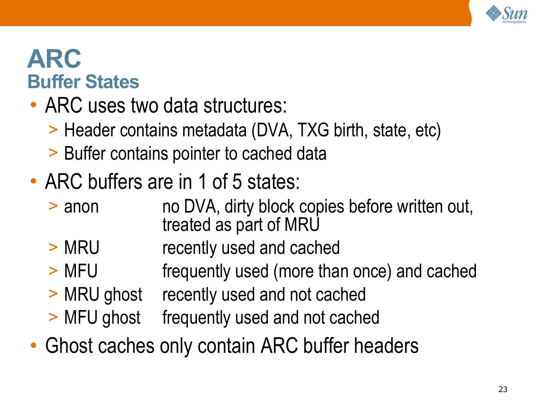

## **ARC Buffer States**

- ARC uses two data structures:
	- > Header contains metadata (DVA, TXG birth, state, etc)
	- > Buffer contains pointer to cached data
- ARC buffers are in 1 of 5 states:
	- > anon no DVA, dirty block copies before written out, treated as part of MRU
	- > MRU recently used and cached
	- > MFU frequently used (more than once) and cached
	- > MRU ghost recently used and not cached
	- > MFU ghost frequently used and not cached
- Ghost caches only contain ARC buffer headers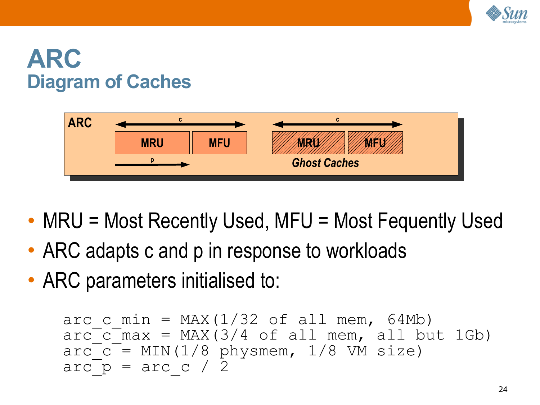

## **ARC Diagram of Caches**



- MRU = Most Recently Used, MFU = Most Fequently Used
- ARC adapts c and p in response to workloads
- ARC parameters initialised to:

```
arc c min = MAX(1/32 of all mem, 64Mb)
arc c max = MAX(3/4 of all mem, all but 1Gb)
\arc<sup>-</sup> = MIN(1/8 physmem, 1/8 VM size)
arcp = arc c / 2
```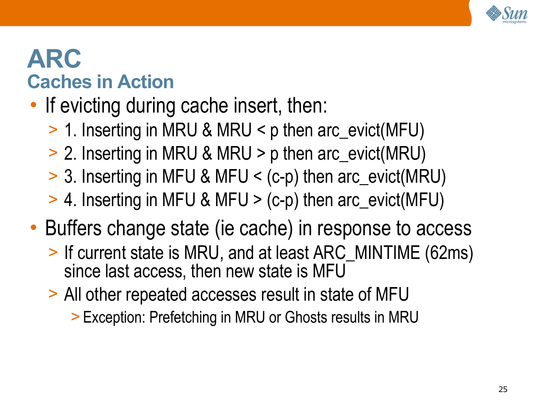

# **ARC Caches in Action**

# • If evicting during cache insert, then:

- > 1. Inserting in MRU & MRU < p then arc\_evict(MFU)
- > 2. Inserting in MRU & MRU > p then arc\_evict(MRU)
- > 3. Inserting in MFU & MFU < (c-p) then arc\_evict(MRU)
- > 4. Inserting in MFU & MFU > (c-p) then arc\_evict(MFU)
- Buffers change state (ie cache) in response to access
	- > If current state is MRU, and at least ARC\_MINTIME (62ms) since last access, then new state is MFU
	- > All other repeated accesses result in state of MFU
		- > Exception: Prefetching in MRU or Ghosts results in MRU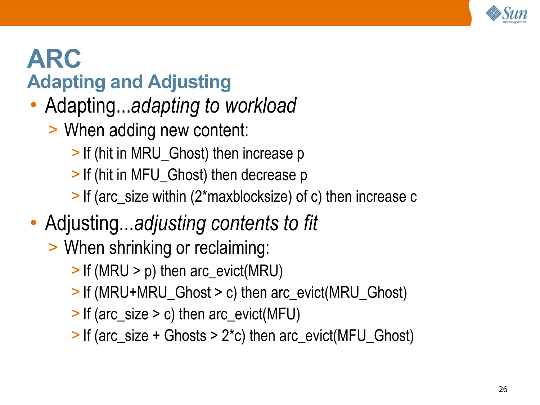

# **ARC Adapting and Adjusting**

- Adapting...*adapting to workload*
	- > When adding new content:
		- > If (hit in MRU\_Ghost) then increase p
		- > If (hit in MFU\_Ghost) then decrease p
		- > If (arc\_size within (2\*maxblocksize) of c) then increase c
- Adjusting...*adjusting contents to fit*
	- > When shrinking or reclaiming:
		- > If (MRU > p) then arc\_evict(MRU)
		- > If (MRU+MRU\_Ghost > c) then arc\_evict(MRU\_Ghost)
		- > If (arc\_size > c) then arc\_evict(MFU)
		- > If (arc\_size + Ghosts > 2\*c) then arc\_evict(MFU\_Ghost)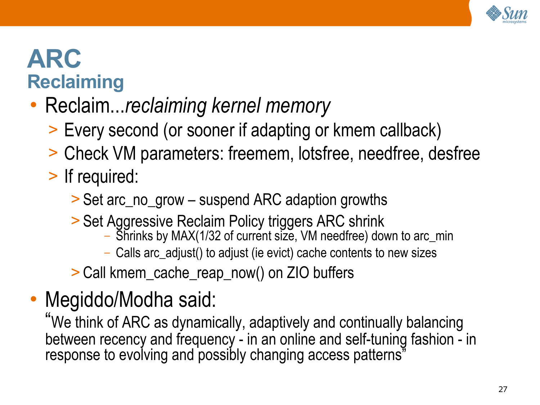

# **ARC Reclaiming**

# • Reclaim...*reclaiming kernel memory*

- > Every second (or sooner if adapting or kmem callback)
- > Check VM parameters: freemem, lotsfree, needfree, desfree

# > If required:

- > Set arc\_no\_grow suspend ARC adaption growths
- > Set Aggressive Reclaim Policy triggers ARC shrink
	- Shrinks by MAX(1/32 of current size, VM needfree) down to arc\_min
	- Calls arc\_adjust() to adjust (ie evict) cache contents to new sizes
- > Call kmem\_cache\_reap\_now() on ZIO buffers

# • Megiddo/Modha said:

"We think of ARC as dynamically, adaptively and continually balancing between recency and frequency - in an online and self-tuning fashion - in response to evolving and possibly changing access patterns"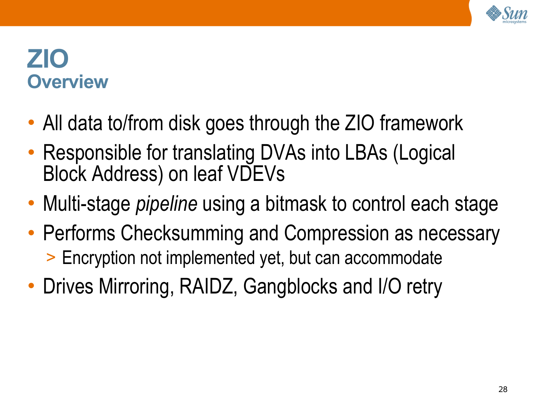

### **ZIO Overview**

- All data to/from disk goes through the ZIO framework
- Responsible for translating DVAs into LBAs (Logical Block Address) on leaf VDEVs
- Multi-stage *pipeline* using a bitmask to control each stage
- Performs Checksumming and Compression as necessary > Encryption not implemented yet, but can accommodate
- Drives Mirroring, RAIDZ, Gangblocks and I/O retry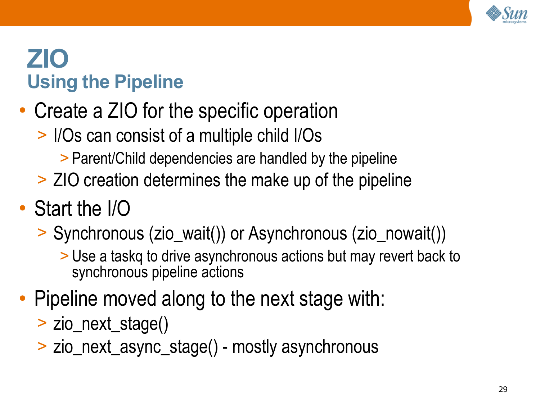

# **ZIO Using the Pipeline**

- Create a ZIO for the specific operation
	- > I/Os can consist of a multiple child I/Os
		- > Parent/Child dependencies are handled by the pipeline
	- > ZIO creation determines the make up of the pipeline
- Start the I/O
	- > Synchronous (zio\_wait()) or Asynchronous (zio\_nowait())
		- > Use a taskq to drive asynchronous actions but may revert back to synchronous pipeline actions
- Pipeline moved along to the next stage with:
	- > zio\_next\_stage()
	- > zio\_next\_async\_stage() mostly asynchronous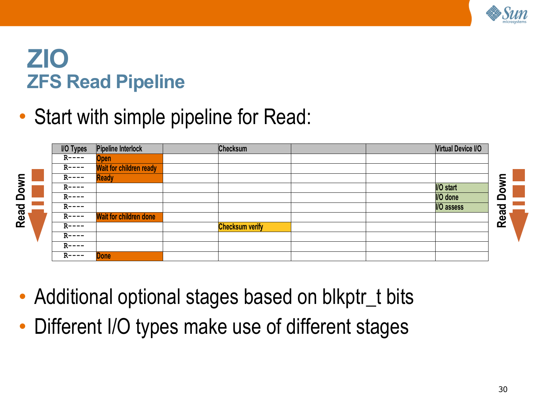

#### **ZIO ZFS Read Pipeline**

• Start with simple pipeline for Read:



- Additional optional stages based on blkptr\_t bits
- Different I/O types make use of different stages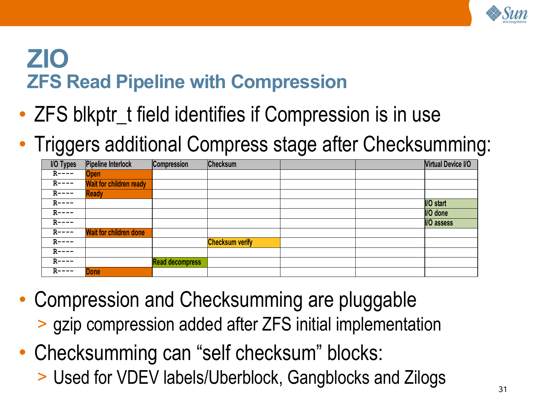

## **ZIO ZFS Read Pipeline with Compression**

- ZFS blkptr\_t field identifies if Compression is in use
- Triggers additional Compress stage after Checksumming:

| <b>I/O Types</b> | Pipeline Interlock             | <b>Compression</b>     | <b>Checksum</b>        |  | <b>Virtual Device I/O</b> |
|------------------|--------------------------------|------------------------|------------------------|--|---------------------------|
| $R$ ----         | <b>Open</b>                    |                        |                        |  |                           |
| $R---$           | <b>Wait for children ready</b> |                        |                        |  |                           |
| $R---$           | <b>Ready</b>                   |                        |                        |  |                           |
| $R---$           |                                |                        |                        |  | I/O start                 |
| $R$ ----         |                                |                        |                        |  | I/O done                  |
| $R---$           |                                |                        |                        |  | <b>I/O assess</b>         |
| $R---$           | <b>Wait for children done</b>  |                        |                        |  |                           |
| $R$ ----         |                                |                        | <b>Checksum verify</b> |  |                           |
| $R$ ----         |                                |                        |                        |  |                           |
| $R---$           |                                | <b>Read decompress</b> |                        |  |                           |
| $R$ ----         | <b>Done</b>                    |                        |                        |  |                           |

- Compression and Checksumming are pluggable > gzip compression added after ZFS initial implementation
- Checksumming can "self checksum" blocks: > Used for VDEV labels/Uberblock, Gangblocks and Zilogs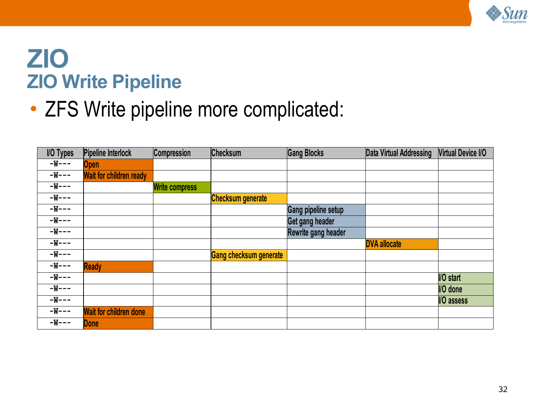

#### **ZIO ZIO Write Pipeline**

• ZFS Write pipeline more complicated:

| <b>I/O Types</b> | Pipeline Interlock             | Compression           | Checksum                      | <b>Gang Blocks</b>  | Data Virtual Addressing | <b>Virtual Device I/O</b> |
|------------------|--------------------------------|-----------------------|-------------------------------|---------------------|-------------------------|---------------------------|
| $-W---$          | <b>Open</b>                    |                       |                               |                     |                         |                           |
| $-W---$          | <b>Wait for children ready</b> |                       |                               |                     |                         |                           |
| $-W---$          |                                | <b>Write compress</b> |                               |                     |                         |                           |
| $-W---$          |                                |                       | <b>Checksum generate</b>      |                     |                         |                           |
| $-W---$          |                                |                       |                               | Gang pipeline setup |                         |                           |
| $-W---$          |                                |                       |                               | Get gang header     |                         |                           |
| $-W--$           |                                |                       |                               | Rewrite gang header |                         |                           |
| $-W---$          |                                |                       |                               |                     | <b>DVA allocate</b>     |                           |
| $-W--$           |                                |                       | <b>Gang checksum generate</b> |                     |                         |                           |
| $-W---$          | <b>Ready</b>                   |                       |                               |                     |                         |                           |
| $-W--$           |                                |                       |                               |                     |                         | <b>I/O</b> start          |
| $-W--$           |                                |                       |                               |                     |                         | I/O done                  |
| $-W---$          |                                |                       |                               |                     |                         | I/O assess                |
| $-W--$           | <b>Wait for children done</b>  |                       |                               |                     |                         |                           |
| $-W---$          | <b>Done</b>                    |                       |                               |                     |                         |                           |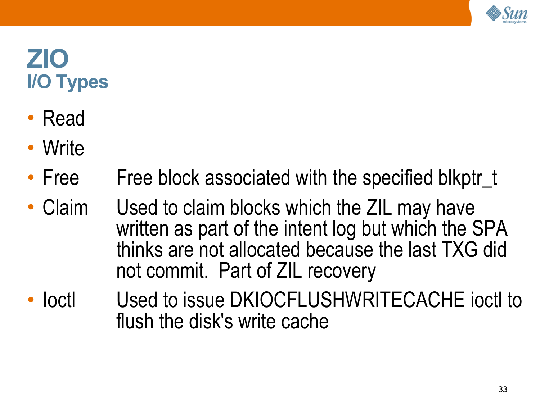

# **ZIO I/O Types**

- Read
- Write
- Free Free block associated with the specified blkptr\_t
- Claim Used to claim blocks which the ZIL may have written as part of the intent log but which the SPA thinks are not allocated because the last TXG did not commit. Part of ZIL recovery
- loctl Used to issue DKIOCFLUSHWRITECACHE joctl to flush the disk's write cache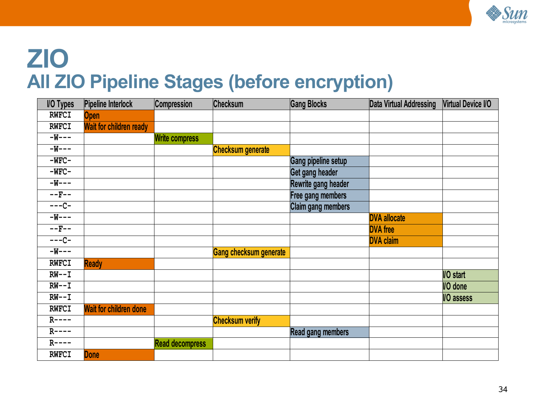

# **ZIO All ZIO Pipeline Stages (before encryption)**

| <b>I/O Types</b>    | <b>Pipeline Interlock</b>     | Compression            | <b>Checksum</b>               | <b>Gang Blocks</b>         | Data Virtual Addressing | <b>Virtual Device I/O</b> |
|---------------------|-------------------------------|------------------------|-------------------------------|----------------------------|-------------------------|---------------------------|
| <b>RWFCI</b>        | <b>Open</b>                   |                        |                               |                            |                         |                           |
| <b>RWFCI</b>        | Wait for children ready       |                        |                               |                            |                         |                           |
| $-W--$              |                               | <b>Write compress</b>  |                               |                            |                         |                           |
| $-W---$             |                               |                        | <b>Checksum generate</b>      |                            |                         |                           |
| $-WFC-$             |                               |                        |                               | <b>Gang pipeline setup</b> |                         |                           |
| $-WFC-$             |                               |                        |                               | Get gang header            |                         |                           |
| $-W--$              |                               |                        |                               | Rewrite gang header        |                         |                           |
| $-$ – $\mbox{F}-$ – |                               |                        |                               | Free gang members          |                         |                           |
| $---C-$             |                               |                        |                               | <b>Claim gang members</b>  |                         |                           |
| $-W--$              |                               |                        |                               |                            | <b>DVA allocate</b>     |                           |
| $--F--$             |                               |                        |                               |                            | <b>DVA</b> free         |                           |
| $---C-$             |                               |                        |                               |                            | <b>DVA claim</b>        |                           |
| $-W--$              |                               |                        | <b>Gang checksum generate</b> |                            |                         |                           |
| <b>RWFCI</b>        | <b>Ready</b>                  |                        |                               |                            |                         |                           |
| $RW--I$             |                               |                        |                               |                            |                         | <b>I/O</b> start          |
| $RW--I$             |                               |                        |                               |                            |                         | <b>I/O</b> done           |
| $RW--I$             |                               |                        |                               |                            |                         | <b>I/O</b> assess         |
| <b>RWFCI</b>        | <b>Wait for children done</b> |                        |                               |                            |                         |                           |
| $R$ ----            |                               |                        | <b>Checksum verify</b>        |                            |                         |                           |
| $R$ ----            |                               |                        |                               | <b>Read gang members</b>   |                         |                           |
| $R$ ----            |                               | <b>Read decompress</b> |                               |                            |                         |                           |
| <b>RWFCI</b>        | <b>Done</b>                   |                        |                               |                            |                         |                           |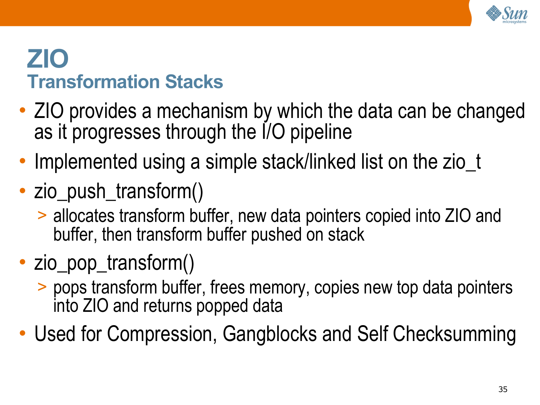

### **ZIO Transformation Stacks**

- ZIO provides a mechanism by which the data can be changed as it progresses through the I/O pipeline
- Implemented using a simple stack/linked list on the zio\_t
- zio\_push\_transform()
	- > allocates transform buffer, new data pointers copied into ZIO and buffer, then transform buffer pushed on stack
- zio\_pop\_transform()
	- > pops transform buffer, frees memory, copies new top data pointers into ZIO and returns popped data
- Used for Compression, Gangblocks and Self Checksumming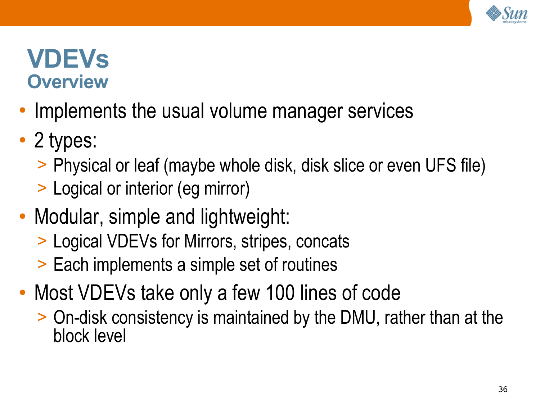

### **VDEVs Overview**

- Implements the usual volume manager services
- 2 types:
	- > Physical or leaf (maybe whole disk, disk slice or even UFS file)
	- > Logical or interior (eg mirror)
- Modular, simple and lightweight:
	- > Logical VDEVs for Mirrors, stripes, concats
	- > Each implements a simple set of routines
- Most VDEVs take only a few 100 lines of code
	- > On-disk consistency is maintained by the DMU, rather than at the block level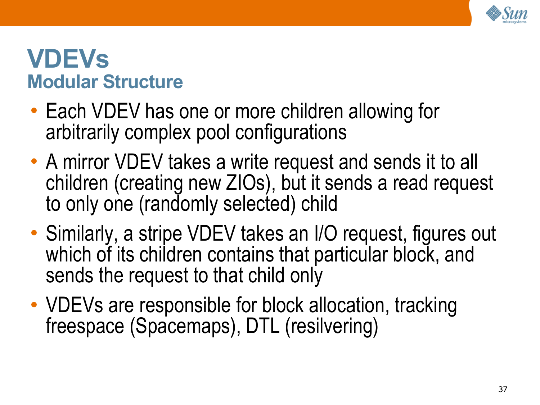

## **VDEVs Modular Structure**

- Each VDEV has one or more children allowing for arbitrarily complex pool configurations
- A mirror VDEV takes a write request and sends it to all children (creating new ZIOs), but it sends a read request to only one (randomly selected) child
- Similarly, a stripe VDEV takes an I/O request, figures out which of its children contains that particular block, and sends the request to that child only
- VDEVs are responsible for block allocation, tracking freespace (Spacemaps), DTL (resilvering)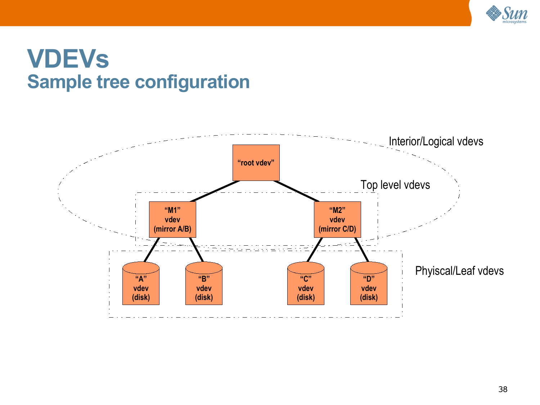

# **VDEVs Sample tree configuration**

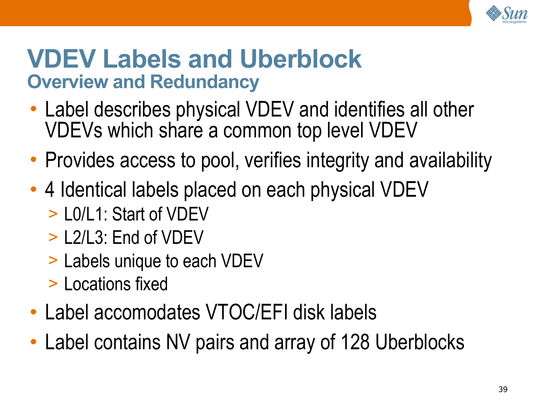

# **VDEV Labels and Uberblock Overview and Redundancy**

- Label describes physical VDEV and identifies all other VDEVs which share a common top level VDEV
- Provides access to pool, verifies integrity and availability
- 4 Identical labels placed on each physical VDEV
	- > L0/L1: Start of VDEV
	- > L2/L3: End of VDEV
	- > Labels unique to each VDEV
	- > Locations fixed
- Label accomodates VTOC/EFI disk labels
- Label contains NV pairs and array of 128 Uberblocks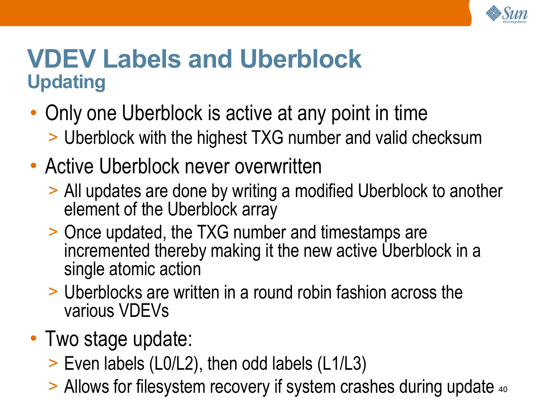

# **VDEV Labels and Uberblock Updating**

- Only one Uberblock is active at any point in time
	- > Uberblock with the highest TXG number and valid checksum
- Active Uberblock never overwritten
	- > All updates are done by writing a modified Uberblock to another element of the Uberblock array
	- > Once updated, the TXG number and timestamps are incremented thereby making it the new active Uberblock in a single atomic action
	- > Uberblocks are written in a round robin fashion across the various VDEVs
- Two stage update:
	- > Even labels (L0/L2), then odd labels (L1/L3)
	- > Allows for filesystem recovery if system crashes during update 40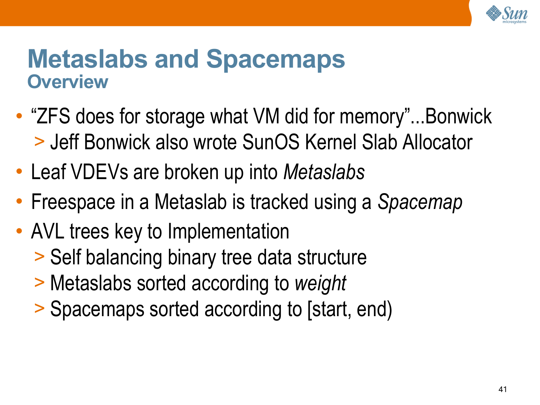

#### **Metaslabs and Spacemaps Overview**

- "ZFS does for storage what VM did for memory"...Bonwick > Jeff Bonwick also wrote SunOS Kernel Slab Allocator
- Leaf VDEVs are broken up into *Metaslabs*
- Freespace in a Metaslab is tracked using a *Spacemap*
- AVL trees key to Implementation
	- > Self balancing binary tree data structure
	- > Metaslabs sorted according to *weight*
	- > Spacemaps sorted according to [start, end)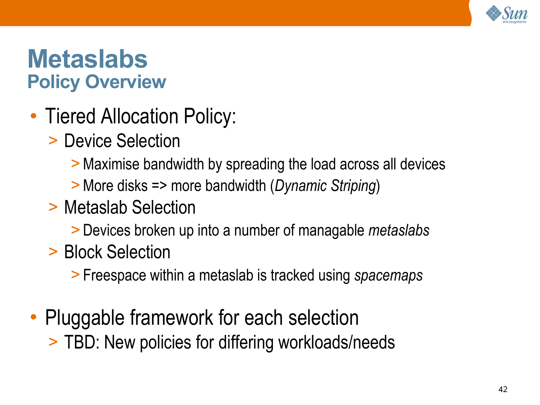

## **Metaslabs Policy Overview**

- Tiered Allocation Policy:
	- > Device Selection
		- >Maximise bandwidth by spreading the load across all devices
		- >More disks => more bandwidth (*Dynamic Striping*)
	- > Metaslab Selection
		- > Devices broken up into a number of managable *metaslabs*
	- > Block Selection
		- > Freespace within a metaslab is tracked using *spacemaps*
- Pluggable framework for each selection
	- > TBD: New policies for differing workloads/needs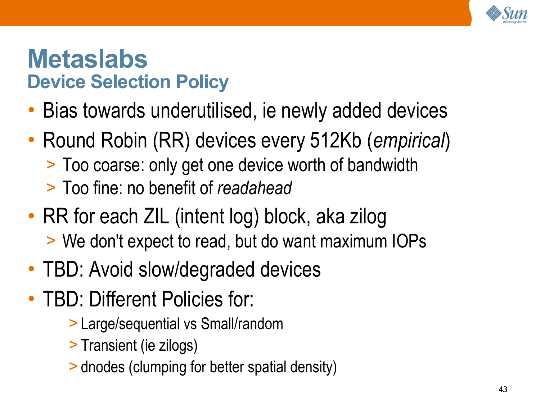

## **Metaslabs Device Selection Policy**

- Bias towards underutilised, ie newly added devices
- Round Robin (RR) devices every 512Kb (*empirical*) > Too coarse: only get one device worth of bandwidth > Too fine: no benefit of *readahead*
- RR for each ZIL (intent log) block, aka zilog > We don't expect to read, but do want maximum IOPs
- TBD: Avoid slow/degraded devices
- TBD: Different Policies for:
	- > Large/sequential vs Small/random
	- > Transient (ie zilogs)
	- > dnodes (clumping for better spatial density)